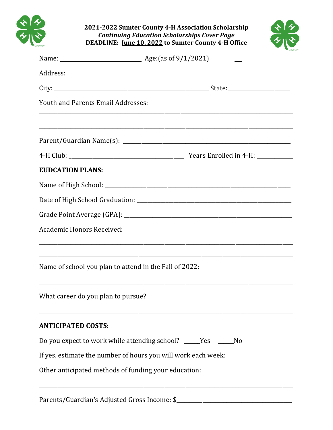

**2021-2022 Sumter County 4-H Association Scholarship** *Continuing Education Scholarships Cover Page* **DEADLINE: June 10, 2022 to Sumter County 4-H Office**



|                                                        | Name: <u>Name: Age:</u> (as of 9/1/2021) ____________                            |
|--------------------------------------------------------|----------------------------------------------------------------------------------|
|                                                        |                                                                                  |
|                                                        |                                                                                  |
| <b>Youth and Parents Email Addresses:</b>              |                                                                                  |
|                                                        |                                                                                  |
|                                                        |                                                                                  |
| <b>EUDCATION PLANS:</b>                                |                                                                                  |
|                                                        |                                                                                  |
|                                                        |                                                                                  |
|                                                        |                                                                                  |
| Academic Honors Received:                              | ,我们的人们就会在这里的人们,我们的人们就会在这里,我们的人们就会在这里,我们的人们就会在这里,我们的人们就会在这里,我们的人们就会在这里,我们的人们就会在这里 |
| Name of school you plan to attend in the Fall of 2022: |                                                                                  |
| What career do you plan to pursue?                     |                                                                                  |
| <b>ANTICIPATED COSTS:</b>                              |                                                                                  |
|                                                        | Do you expect to work while attending school? _____Yes ______No                  |
|                                                        | If yes, estimate the number of hours you will work each week: __________________ |
| Other anticipated methods of funding your education:   |                                                                                  |
|                                                        |                                                                                  |